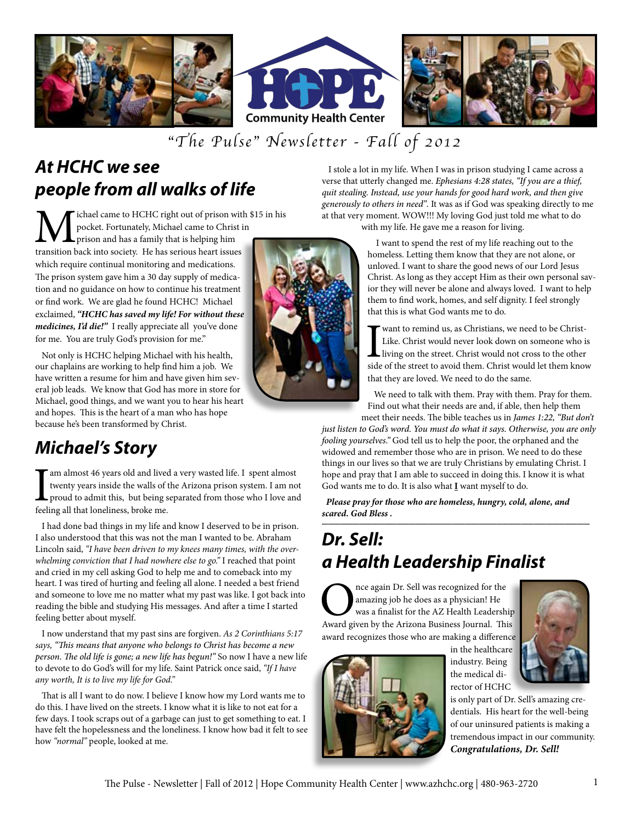

## *"The Pulse" Newsletter - Fall of 2012*

## *At HCHC we see people from all walks of life*

ichael came to HCHC right out of prison with \$15 in his pocket. Fortunately, Michael came to Christ in prison and has a family that is helping him transition back into society. He has serious heart issues which require continual monitoring and medications. The prison system gave him a 30 day supply of medication and no guidance on how to continue his treatment or find work. We are glad he found HCHC! Michael exclaimed, *"HCHC has saved my life! For without these* 

for me. You are truly God's provision for me." Not only is HCHC helping Michael with his health, our chaplains are working to help find him a job. We have written a resume for him and have given him several job leads. We know that God has more in store for Michael, good things, and we want you to hear his heart and hopes. This is the heart of a man who has hope because he's been transformed by Christ.

*medicines, I'd die!"* I really appreciate all you've done

## *Michael's Story*

am almost 46 years old and lived a very wasted life. I spent almost twenty years inside the walls of the Arizona prison system. I am not proud to admit this, but being separated from those who I love and feeling all that loneliness, broke me.

 I had done bad things in my life and know I deserved to be in prison. I also understood that this was not the man I wanted to be. Abraham Lincoln said, *"I have been driven to my knees many times, with the overwhelming conviction that I had nowhere else to go."* I reached that point and cried in my cell asking God to help me and to comeback into my heart. I was tired of hurting and feeling all alone. I needed a best friend and someone to love me no matter what my past was like. I got back into reading the bible and studying His messages. And after a time I started feeling better about myself.

 I now understand that my past sins are forgiven. *As 2 Corinthians 5:17 says, "This means that anyone who belongs to Christ has become a new person. The old life is gone; a new life has begun!"* So now I have a new life to devote to do God's will for my life. Saint Patrick once said, *"If I have any worth, It is to live my life for God."*

 That is all I want to do now. I believe I know how my Lord wants me to do this. I have lived on the streets. I know what it is like to not eat for a few days. I took scraps out of a garbage can just to get something to eat. I have felt the hopelessness and the loneliness. I know how bad it felt to see how *"normal"* people, looked at me.

 I stole a lot in my life. When I was in prison studying I came across a verse that utterly changed me. *Ephesians 4:28 states, "If you are a thief, quit stealing. Instead, use your hands for good hard work, and then give generously to others in need".* It was as if God was speaking directly to me at that very moment. WOW!!! My loving God just told me what to do with my life. He gave me a reason for living.

I want to spend the rest of my life reaching out to the

homeless. Letting them know that they are not alone, or unloved. I want to share the good news of our Lord Jesus Christ. As long as they accept Him as their own personal savior they will never be alone and always loved. I want to help them to find work, homes, and self dignity. I feel strongly that this is what God wants me to do.

I want to remind us, as Christians, we need to be Christ-<br>Like. Christ would never look down on someone who is<br>living on the street. Christ would not cross to the other<br>side of the street to avoid them. Christ would let th Like. Christ would never look down on someone who is living on the street. Christ would not cross to the other side of the street to avoid them. Christ would let them know that they are loved. We need to do the same.

 We need to talk with them. Pray with them. Pray for them. Find out what their needs are and, if able, then help them

meet their needs. The bible teaches us in *James 1:22, "But don't just listen to God's word. You must do what it says. Otherwise, you are only fooling yourselves."* God tell us to help the poor, the orphaned and the widowed and remember those who are in prison. We need to do these things in our lives so that we are truly Christians by emulating Christ. I hope and pray that I am able to succeed in doing this. I know it is what God wants me to do. It is also what **I** want myself to do.

 *Please pray for those who are homeless, hungry, cold, alone, and scared. God Bless .* \_\_\_\_\_\_\_\_\_\_\_\_\_\_\_\_\_\_\_\_\_\_\_\_\_\_\_\_\_\_\_\_\_\_\_\_\_\_\_\_\_\_\_

# *Dr. Sell: a Health Leadership Finalist*

Once again Dr. Sell was recognized for the amazing job he does as a physician! He was a finalist for the AZ Health Leadership Award given by the Arizona Business Journal. This amazing job he does as a physician! He was a finalist for the AZ Health Leadership award recognizes those who are making a difference



industry. Being the medical director of HCHC

in the healthcare

is only part of Dr. Sell's amazing credentials. His heart for the well-being of our uninsured patients is making a tremendous impact in our community. *Congratulations, Dr. Sell!*

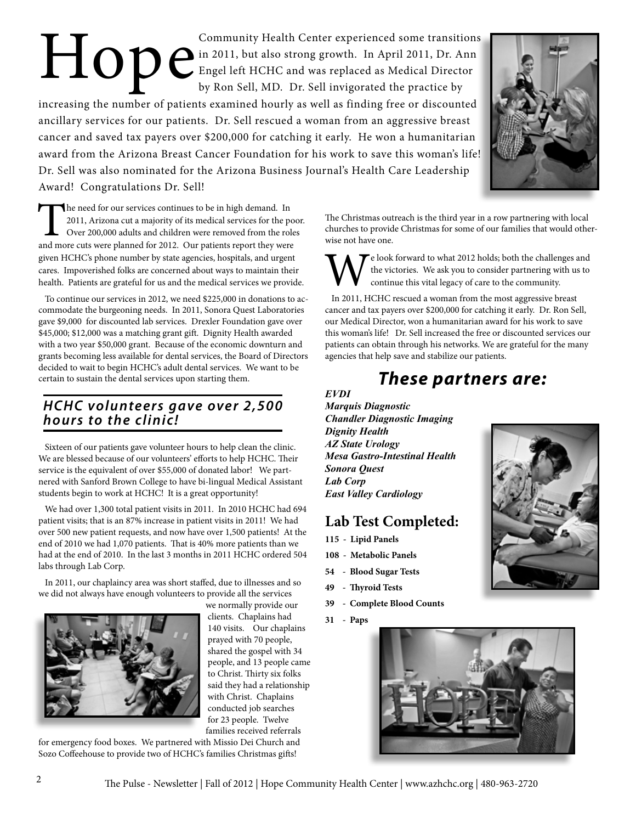Community Health Center experienced some transitions<br>Engel left HCHC and was replaced as Medical Director<br>by Ron Sell, MD. Dr. Sell invigorated the practice by in 2011, but also strong growth. In April 2011, Dr. Ann Engel left HCHC and was replaced as Medical Director by Ron Sell, MD. Dr. Sell invigorated the practice by

increasing the number of patients examined hourly as well as finding free or discounted ancillary services for our patients. Dr. Sell rescued a woman from an aggressive breast cancer and saved tax payers over \$200,000 for catching it early. He won a humanitarian award from the Arizona Breast Cancer Foundation for his work to save this woman's life! Dr. Sell was also nominated for the Arizona Business Journal's Health Care Leadership Award! Congratulations Dr. Sell!



The need for our services continues to be in high demand. In 2011, Arizona cut a majority of its medical services for the po Over 200,000 adults and children were removed from the role and more cuts were planned for 2012. 2011, Arizona cut a majority of its medical services for the poor. Over 200,000 adults and children were removed from the roles given HCHC's phone number by state agencies, hospitals, and urgent cares. Impoverished folks are concerned about ways to maintain their health. Patients are grateful for us and the medical services we provide.

 To continue our services in 2012, we need \$225,000 in donations to accommodate the burgeoning needs. In 2011, Sonora Quest Laboratories gave \$9,000 for discounted lab services. Drexler Foundation gave over \$45,000; \$12,000 was a matching grant gift. Dignity Health awarded with a two year \$50,000 grant. Because of the economic downturn and grants becoming less available for dental services, the Board of Directors decided to wait to begin HCHC's adult dental services. We want to be certain to sustain the dental services upon starting them.

#### *HCHC volunte ers gave over 2,500 hours to the clinic!*

 Sixteen of our patients gave volunteer hours to help clean the clinic. We are blessed because of our volunteers' efforts to help HCHC. Their service is the equivalent of over \$55,000 of donated labor! We partnered with Sanford Brown College to have bi-lingual Medical Assistant students begin to work at HCHC! It is a great opportunity!

 We had over 1,300 total patient visits in 2011. In 2010 HCHC had 694 patient visits; that is an 87% increase in patient visits in 2011! We had over 500 new patient requests, and now have over 1,500 patients! At the end of 2010 we had 1,070 patients. That is 40% more patients than we had at the end of 2010. In the last 3 months in 2011 HCHC ordered 504 labs through Lab Corp.

 In 2011, our chaplaincy area was short staffed, due to illnesses and so we did not always have enough volunteers to provide all the services



we normally provide our clients. Chaplains had 140 visits. Our chaplains prayed with 70 people, shared the gospel with 34 people, and 13 people came to Christ. Thirty six folks said they had a relationship with Christ. Chaplains conducted job searches for 23 people. Twelve families received referrals

for emergency food boxes. We partnered with Missio Dei Church and Sozo Coffeehouse to provide two of HCHC's families Christmas gifts!

The Christmas outreach is the third year in a row partnering with local churches to provide Christmas for some of our families that would otherwise not have one.

We look forward to what 2012 holds; both the challenges and<br>the victories. We ask you to consider partnering with us to<br>continue this vital legacy of care to the community. the victories. We ask you to consider partnering with us to continue this vital legacy of care to the community.

 In 2011, HCHC rescued a woman from the most aggressive breast cancer and tax payers over \$200,000 for catching it early. Dr. Ron Sell, our Medical Director, won a humanitarian award for his work to save this woman's life! Dr. Sell increased the free or discounted services our patients can obtain through his networks. We are grateful for the many agencies that help save and stabilize our patients.

### *These partners are:*

*EVDI Marquis Diagnostic Chandler Diagnostic Imaging Dignity Health AZ State Urology Mesa Gastro-Intestinal Health Sonora Quest Lab Corp East Valley Cardiology*

#### **Lab Test Completed:**

- **115 Lipid Panels**
- **108 Metabolic Panels**
- **54 Blood Sugar Tests**
- **49 Thyroid Tests**
- **39 Complete Blood Counts**
- **31 Paps**

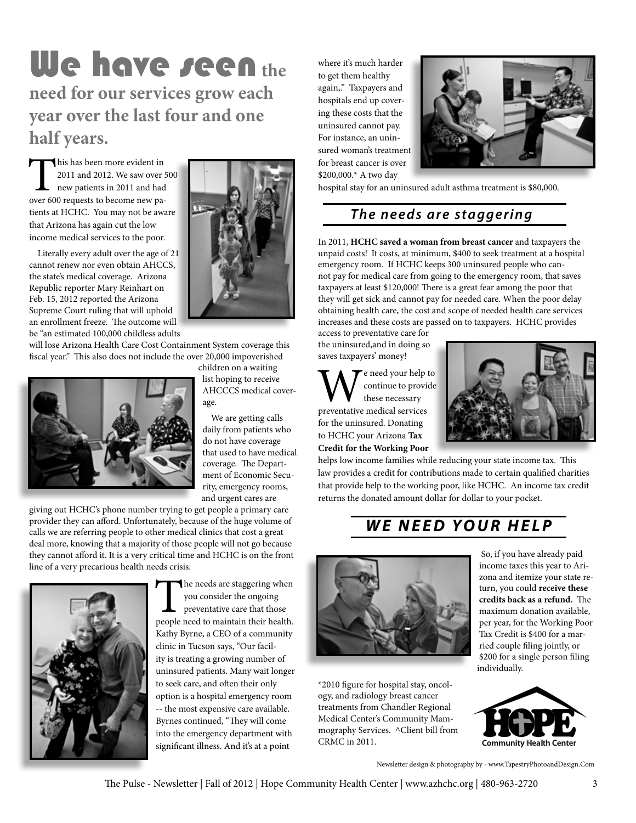# **We have seen the need for our services grow each year over the last four and one half years.**

This has been more evident in 2011 and 2012. We saw over 500 new patients in 2011 and had over 600 requests to become new patients at HCHC. You may not be aware that Arizona has again cut the low income medical services to the poor.

 Literally every adult over the age of 21 cannot renew nor even obtain AHCCS, the state's medical coverage. Arizona Republic reporter Mary Reinhart on Feb. 15, 2012 reported the Arizona Supreme Court ruling that will uphold an enrollment freeze. The outcome will be "an estimated 100,000 childless adults

will lose Arizona Health Care Cost Containment System coverage this fiscal year." This also does not include the over 20,000 impoverished



children on a waiting list hoping to receive AHCCCS medical coverage.

 We are getting calls daily from patients who do not have coverage that used to have medical coverage. The Department of Economic Security, emergency rooms, and urgent cares are

giving out HCHC's phone number trying to get people a primary care provider they can afford. Unfortunately, because of the huge volume of calls we are referring people to other medical clinics that cost a great deal more, knowing that a majority of those people will not go because they cannot afford it. It is a very critical time and HCHC is on the front line of a very precarious health needs crisis.



The needs are staggering when<br>
you consider the ongoing<br>
people need to maintain their health. you consider the ongoing preventative care that those Kathy Byrne, a CEO of a community clinic in Tucson says, "Our facility is treating a growing number of uninsured patients. Many wait longer to seek care, and often their only option is a hospital emergency room -- the most expensive care available. Byrnes continued, "They will come into the emergency department with significant illness. And it's at a point

where it's much harder to get them healthy again,." Taxpayers and hospitals end up covering these costs that the uninsured cannot pay. For instance, an uninsured woman's treatment for breast cancer is over \$200,000.\* A two day



hospital stay for an uninsured adult asthma treatment is \$80,000.

#### *The needs are staggering*

In 2011, **HCHC saved a woman from breast cancer** and taxpayers the unpaid costs!It costs, at minimum, \$400 to seek treatment at a hospital emergency room. If HCHC keeps 300 uninsured people who cannot pay for medical care from going to the emergency room, that saves taxpayers at least \$120,000! There is a great fear among the poor that they will get sick and cannot pay for needed care. When the poor delay obtaining health care, the cost and scope of needed health care services increases and these costs are passed on to taxpayers. HCHC provides

access to preventative care for the uninsured,and in doing so saves taxpayers' money!

 $\mathbf{W}^{\text{e need your help to}}_{\text{these necessary}}$  preventative medical services continue to provide these necessary for the uninsured. Donating to HCHC your Arizona **Tax Credit for the Working Poor**



helps low income families while reducing your state income tax. This law provides a credit for contributions made to certain qualified charities that provide help to the working poor, like HCHC. An income tax credit returns the donated amount dollar for dollar to your pocket.

### *WE NEED YOUR HELP*



\*2010 figure for hospital stay, oncology, and radiology breast cancer treatments from Chandler Regional Medical Center's Community Mammography Services. ^Client bill from CRMC in 2011. **Community Health Center**

 So, if you have already paid income taxes this year to Arizona and itemize your state return, you could **receive these credits back as a refund.** The maximum donation available, per year, for the Working Poor Tax Credit is \$400 for a married couple filing jointly, or \$200 for a single person filing individually.



Newsletter design & photography by - www.TapestryPhotoandDesign.Com